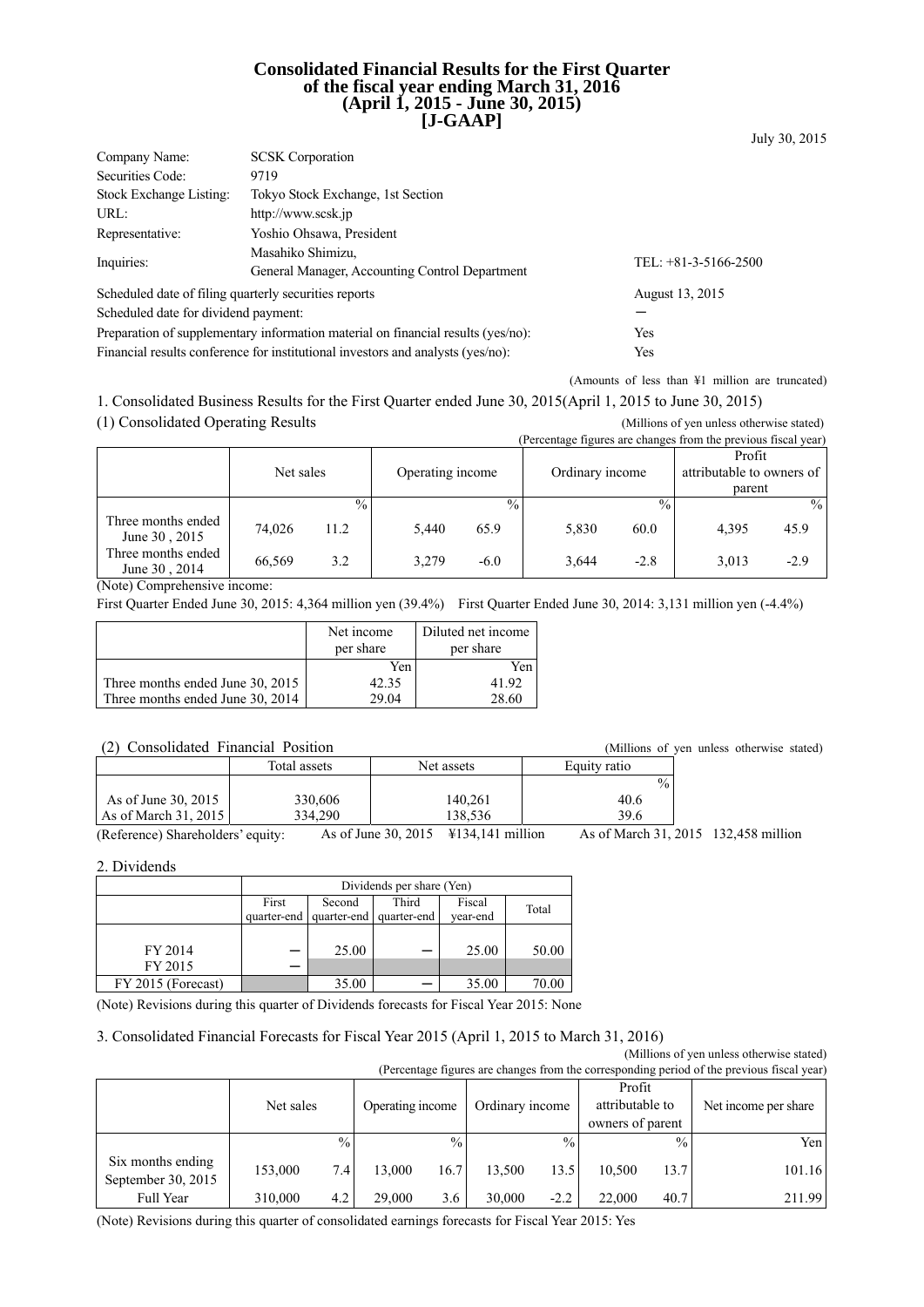## **Consolidated Financial Results for the First Quarter of the fiscal year ending March 31, 2016 (April 1, 2015 - June 30, 2015) [J-GAAP]**

| Company Name:                                                                           | <b>SCSK</b> Corporation                        |                        |  |  |  |  |
|-----------------------------------------------------------------------------------------|------------------------------------------------|------------------------|--|--|--|--|
| Securities Code:                                                                        | 9719                                           |                        |  |  |  |  |
| Stock Exchange Listing:                                                                 | Tokyo Stock Exchange, 1st Section              |                        |  |  |  |  |
| URL:                                                                                    | http://www.scsk.jp                             |                        |  |  |  |  |
| Representative:                                                                         | Yoshio Ohsawa, President                       |                        |  |  |  |  |
|                                                                                         | Masahiko Shimizu,                              |                        |  |  |  |  |
| Inquiries:                                                                              | General Manager, Accounting Control Department | TEL: $+81-3-5166-2500$ |  |  |  |  |
| Scheduled date of filing quarterly securities reports                                   |                                                | August 13, 2015        |  |  |  |  |
| Scheduled date for dividend payment:                                                    |                                                |                        |  |  |  |  |
| Preparation of supplementary information material on financial results (yes/no):<br>Yes |                                                |                        |  |  |  |  |

Financial results conference for institutional investors and analysts (yes/no): Yes

(Amounts of less than ¥1 million are truncated)

July 30, 2015

1. Consolidated Business Results for the First Quarter ended June 30, 2015(April 1, 2015 to June 30, 2015) (1) Consolidated Operating Results (Millions of yen unless otherwise stated)

|                                     |           |               |                  |               |                 | (Percentage figures are changes from the previous fiscal year) |                           |               |
|-------------------------------------|-----------|---------------|------------------|---------------|-----------------|----------------------------------------------------------------|---------------------------|---------------|
|                                     |           |               |                  |               |                 |                                                                | Profit                    |               |
|                                     | Net sales |               | Operating income |               | Ordinary income |                                                                | attributable to owners of |               |
|                                     |           |               |                  |               |                 |                                                                | parent                    |               |
|                                     |           | $\frac{0}{0}$ |                  | $\frac{0}{0}$ |                 | $\frac{0}{0}$                                                  |                           | $\frac{0}{0}$ |
| Three months ended<br>June 30, 2015 | 74.026    | 11.2          | 5.440            | 65.9          | 5,830           | 60.0                                                           | 4.395                     | 45.9          |
| Three months ended<br>June 30, 2014 | 66,569    | 3.2           | 3.279            | $-6.0$        | 3,644           | $-2.8$                                                         | 3,013                     | $-2.9$        |

(Note) Comprehensive income:

First Quarter Ended June 30, 2015: 4,364 million yen (39.4%) First Quarter Ended June 30, 2014: 3,131 million yen (-4.4%)

|                                  | Net income<br>per share | Diluted net income<br>per share |
|----------------------------------|-------------------------|---------------------------------|
|                                  | Yen                     | Yen                             |
| Three months ended June 30, 2015 | 42.35                   | 41.92                           |
| Three months ended June 30, 2014 | 29.04                   | 28.60                           |

## (2) Consolidated Financial Position (Millions of yen unless otherwise stated)

| $\cdot$ $\sim$ $\cdot$ |              |            |               |
|------------------------|--------------|------------|---------------|
|                        | Total assets | Net assets | Equity ratio  |
|                        |              |            | $\frac{0}{0}$ |
| As of June 30, 2015    | 330,606      | 140.261    | 40.6          |
| As of March $31, 2015$ | 334.290      | 138.536    | 39.6          |

(Reference) Shareholders' equity: As of June 30, 2015 ¥134,141 million As of March 31, 2015 132,458 million

#### 2. Dividends

|                    | Dividends per share (Yen) |                                         |       |          |       |  |
|--------------------|---------------------------|-----------------------------------------|-------|----------|-------|--|
|                    | First                     | Second                                  | Third | Fiscal   | Total |  |
|                    |                           | quarter-end   quarter-end   quarter-end |       | vear-end |       |  |
|                    |                           |                                         |       |          |       |  |
| FY 2014            |                           | 25.00                                   |       | 25.00    | 50.00 |  |
| FY 2015            |                           |                                         |       |          |       |  |
| FY 2015 (Forecast) |                           | 35.00                                   |       | 35.00    | 70.00 |  |

(Note) Revisions during this quarter of Dividends forecasts for Fiscal Year 2015: None

## 3. Consolidated Financial Forecasts for Fiscal Year 2015 (April 1, 2015 to March 31, 2016)

(Millions of yen unless otherwise stated) (Percentage figures are changes from the corresponding period of the previous fiscal year)

|                                         | Net sales |               | Operating income |               | Ordinary income |               | Profit<br>attributable to<br>owners of parent |               | Net income per share |
|-----------------------------------------|-----------|---------------|------------------|---------------|-----------------|---------------|-----------------------------------------------|---------------|----------------------|
|                                         |           | $\frac{0}{0}$ |                  | $\frac{0}{0}$ |                 | $\frac{0}{0}$ |                                               | $\frac{0}{0}$ | Yen                  |
| Six months ending<br>September 30, 2015 | 153,000   | 7.4           | 13.000           | 16.7          | 13.500          | 13.5          | 10.500                                        | 13.7          | 101.16               |
| Full Year                               | 310,000   | 4.2           | 29.000           | 3.6           | 30,000          | $-2.2$        | 22.000                                        | 40.7          | 211.99               |

(Note) Revisions during this quarter of consolidated earnings forecasts for Fiscal Year 2015: Yes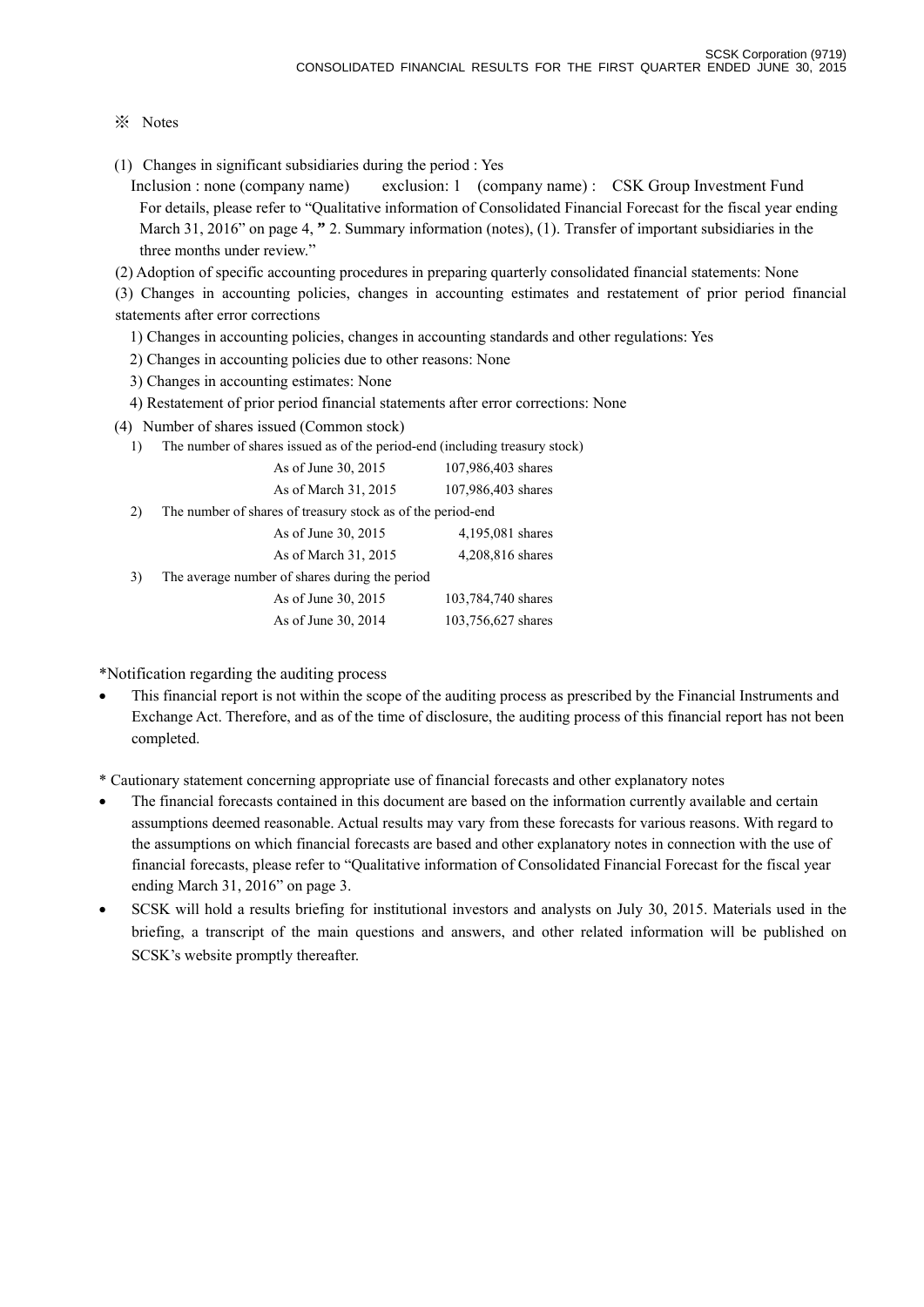# ※ Notes

(1) Changes in significant subsidiaries during the period : Yes

Inclusion : none (company name) exclusion: 1 (company name) : CSK Group Investment Fund For details, please refer to "Qualitative information of Consolidated Financial Forecast for the fiscal year ending March 31, 2016" on page 4, **"** 2. Summary information (notes), (1). Transfer of important subsidiaries in the three months under review."

(2) Adoption of specific accounting procedures in preparing quarterly consolidated financial statements: None

(3) Changes in accounting policies, changes in accounting estimates and restatement of prior period financial statements after error corrections

- 1) Changes in accounting policies, changes in accounting standards and other regulations: Yes
- 2) Changes in accounting policies due to other reasons: None
- 3) Changes in accounting estimates: None
- 4) Restatement of prior period financial statements after error corrections: None
- (4) Number of shares issued (Common stock)
	- 1) The number of shares issued as of the period-end (including treasury stock)

|     | As of June 30, 2015                                         | 107,986,403 shares |
|-----|-------------------------------------------------------------|--------------------|
|     | As of March 31, 2015                                        | 107,986,403 shares |
| (2) | The number of shares of treasury stock as of the period-end |                    |
|     | As of June 30, 2015                                         | 4,195,081 shares   |
|     | As of March 31, 2015                                        | 4,208,816 shares   |
| 3)  | The average number of shares during the period              |                    |
|     | As of June 30, 2015                                         | 103,784,740 shares |
|     | As of June 30, 2014                                         | 103,756,627 shares |
|     |                                                             |                    |

\*Notification regarding the auditing process

 This financial report is not within the scope of the auditing process as prescribed by the Financial Instruments and Exchange Act. Therefore, and as of the time of disclosure, the auditing process of this financial report has not been completed.

\* Cautionary statement concerning appropriate use of financial forecasts and other explanatory notes

- The financial forecasts contained in this document are based on the information currently available and certain assumptions deemed reasonable. Actual results may vary from these forecasts for various reasons. With regard to the assumptions on which financial forecasts are based and other explanatory notes in connection with the use of financial forecasts, please refer to "Qualitative information of Consolidated Financial Forecast for the fiscal year ending March 31, 2016" on page 3.
- SCSK will hold a results briefing for institutional investors and analysts on July 30, 2015. Materials used in the briefing, a transcript of the main questions and answers, and other related information will be published on SCSK's website promptly thereafter.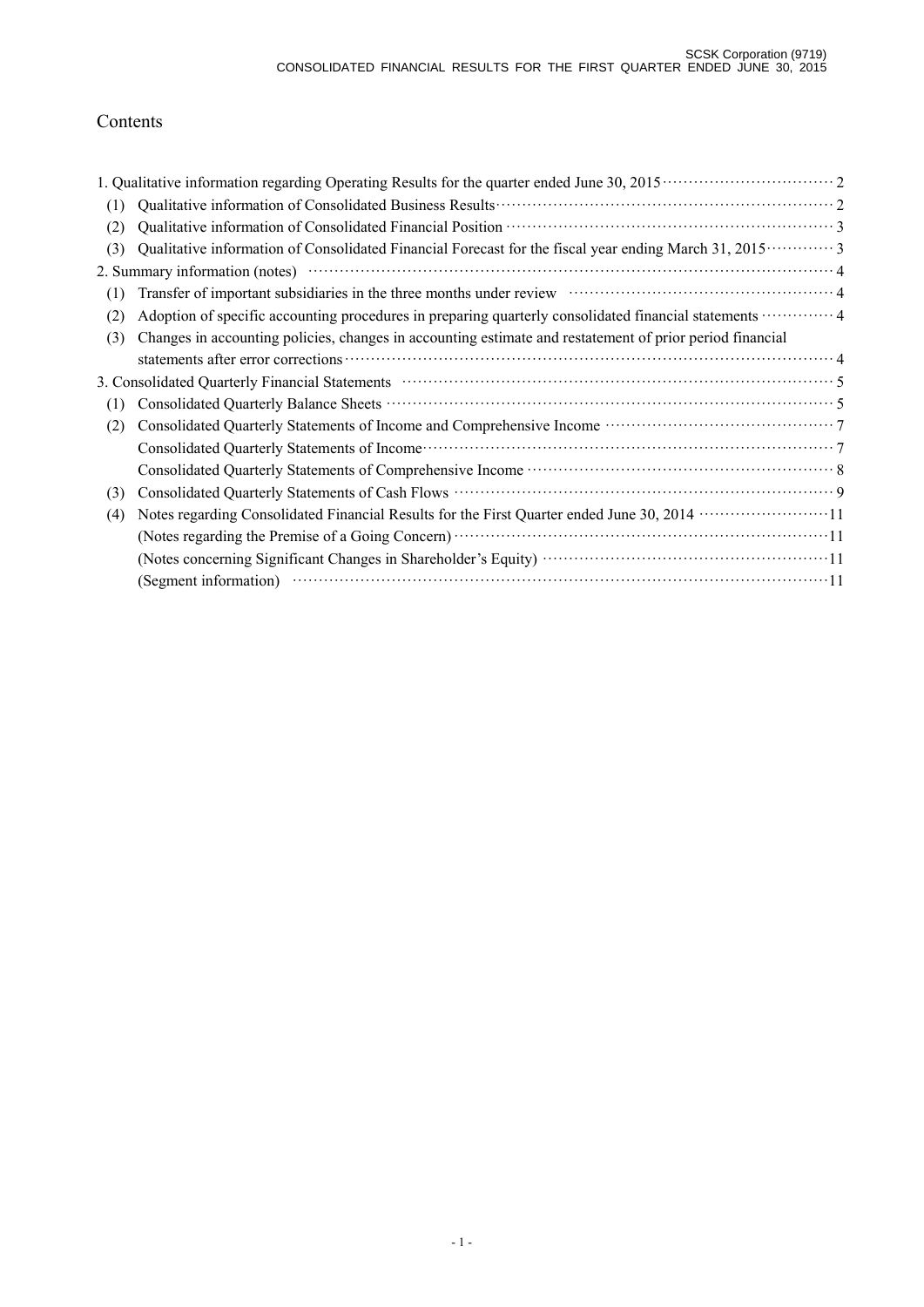# Contents

| (1) |                                                                                                                                                                                                                                |  |
|-----|--------------------------------------------------------------------------------------------------------------------------------------------------------------------------------------------------------------------------------|--|
| (2) |                                                                                                                                                                                                                                |  |
| (3) | Qualitative information of Consolidated Financial Forecast for the fiscal year ending March 31, 2015 ············· 3                                                                                                           |  |
|     |                                                                                                                                                                                                                                |  |
| (1) | Transfer of important subsidiaries in the three months under review material contact and a 4                                                                                                                                   |  |
| (2) | Adoption of specific accounting procedures in preparing quarterly consolidated financial statements  4                                                                                                                         |  |
| (3) | Changes in accounting policies, changes in accounting estimate and restatement of prior period financial                                                                                                                       |  |
|     |                                                                                                                                                                                                                                |  |
|     | 3. Consolidated Quarterly Financial Statements manufactured control of the Statements of Statements and Statements of Statements and Statements of Statements and Statements of Statements and Statements and Statements and S |  |
| (1) |                                                                                                                                                                                                                                |  |
| (2) |                                                                                                                                                                                                                                |  |
|     |                                                                                                                                                                                                                                |  |
|     |                                                                                                                                                                                                                                |  |
| (3) |                                                                                                                                                                                                                                |  |
| (4) | Notes regarding Consolidated Financial Results for the First Quarter ended June 30, 2014 ·······················11                                                                                                             |  |
|     |                                                                                                                                                                                                                                |  |
|     |                                                                                                                                                                                                                                |  |
|     | (Segment information) (Compared to the set of the set of the set of the set of the set of the set of the set of the set of the set of the set of the set of the set of the set of the set of the set of the set of the set of  |  |
|     |                                                                                                                                                                                                                                |  |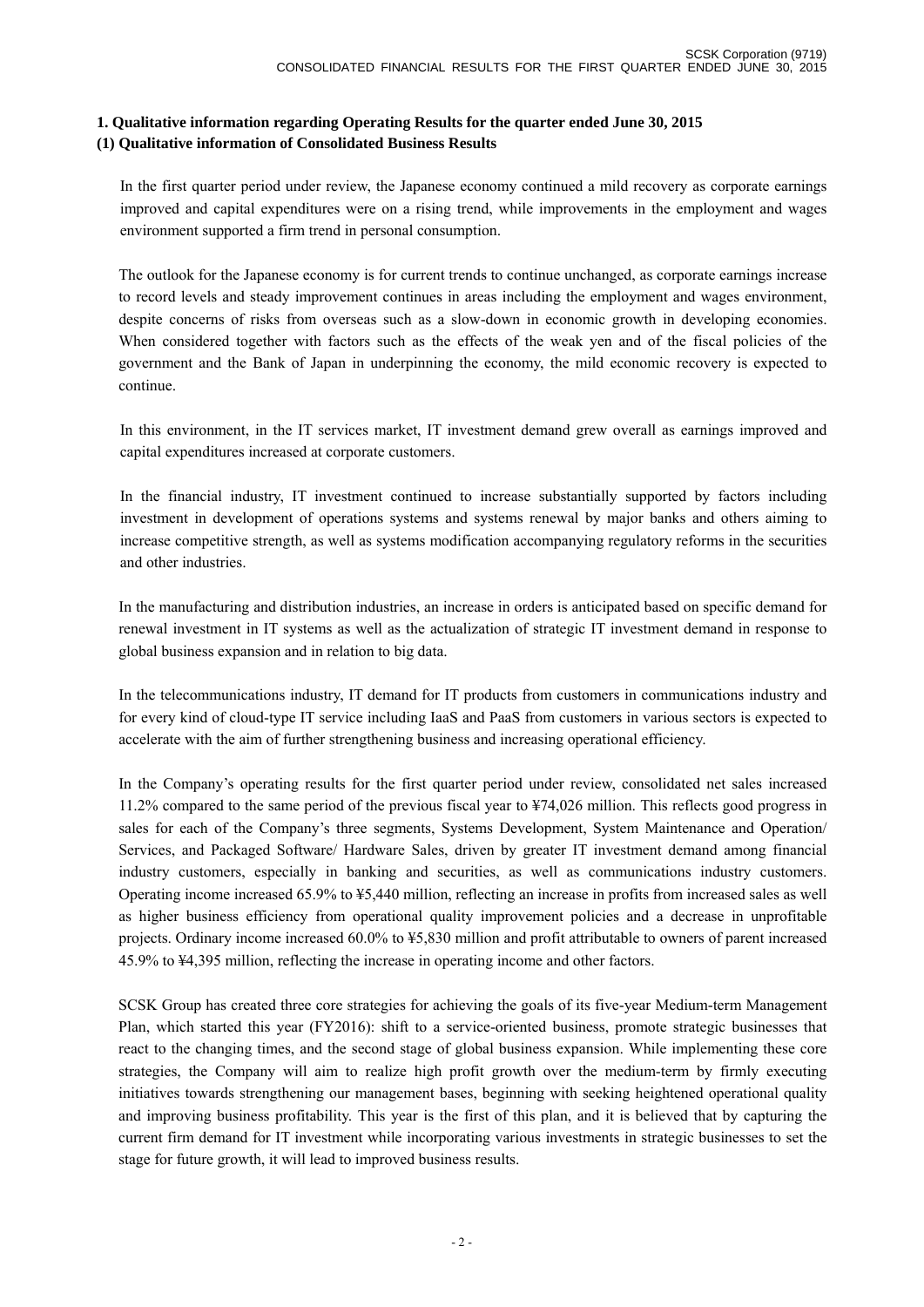# **1. Qualitative information regarding Operating Results for the quarter ended June 30, 2015 (1) Qualitative information of Consolidated Business Results**

In the first quarter period under review, the Japanese economy continued a mild recovery as corporate earnings improved and capital expenditures were on a rising trend, while improvements in the employment and wages environment supported a firm trend in personal consumption.

The outlook for the Japanese economy is for current trends to continue unchanged, as corporate earnings increase to record levels and steady improvement continues in areas including the employment and wages environment, despite concerns of risks from overseas such as a slow-down in economic growth in developing economies. When considered together with factors such as the effects of the weak yen and of the fiscal policies of the government and the Bank of Japan in underpinning the economy, the mild economic recovery is expected to continue.

In this environment, in the IT services market, IT investment demand grew overall as earnings improved and capital expenditures increased at corporate customers.

In the financial industry, IT investment continued to increase substantially supported by factors including investment in development of operations systems and systems renewal by major banks and others aiming to increase competitive strength, as well as systems modification accompanying regulatory reforms in the securities and other industries.

In the manufacturing and distribution industries, an increase in orders is anticipated based on specific demand for renewal investment in IT systems as well as the actualization of strategic IT investment demand in response to global business expansion and in relation to big data.

In the telecommunications industry, IT demand for IT products from customers in communications industry and for every kind of cloud-type IT service including IaaS and PaaS from customers in various sectors is expected to accelerate with the aim of further strengthening business and increasing operational efficiency.

In the Company's operating results for the first quarter period under review, consolidated net sales increased 11.2% compared to the same period of the previous fiscal year to ¥74,026 million. This reflects good progress in sales for each of the Company's three segments, Systems Development, System Maintenance and Operation/ Services, and Packaged Software/ Hardware Sales, driven by greater IT investment demand among financial industry customers, especially in banking and securities, as well as communications industry customers. Operating income increased 65.9% to ¥5,440 million, reflecting an increase in profits from increased sales as well as higher business efficiency from operational quality improvement policies and a decrease in unprofitable projects. Ordinary income increased 60.0% to ¥5,830 million and profit attributable to owners of parent increased 45.9% to ¥4,395 million, reflecting the increase in operating income and other factors.

SCSK Group has created three core strategies for achieving the goals of its five-year Medium-term Management Plan, which started this year (FY2016): shift to a service-oriented business, promote strategic businesses that react to the changing times, and the second stage of global business expansion. While implementing these core strategies, the Company will aim to realize high profit growth over the medium-term by firmly executing initiatives towards strengthening our management bases, beginning with seeking heightened operational quality and improving business profitability. This year is the first of this plan, and it is believed that by capturing the current firm demand for IT investment while incorporating various investments in strategic businesses to set the stage for future growth, it will lead to improved business results.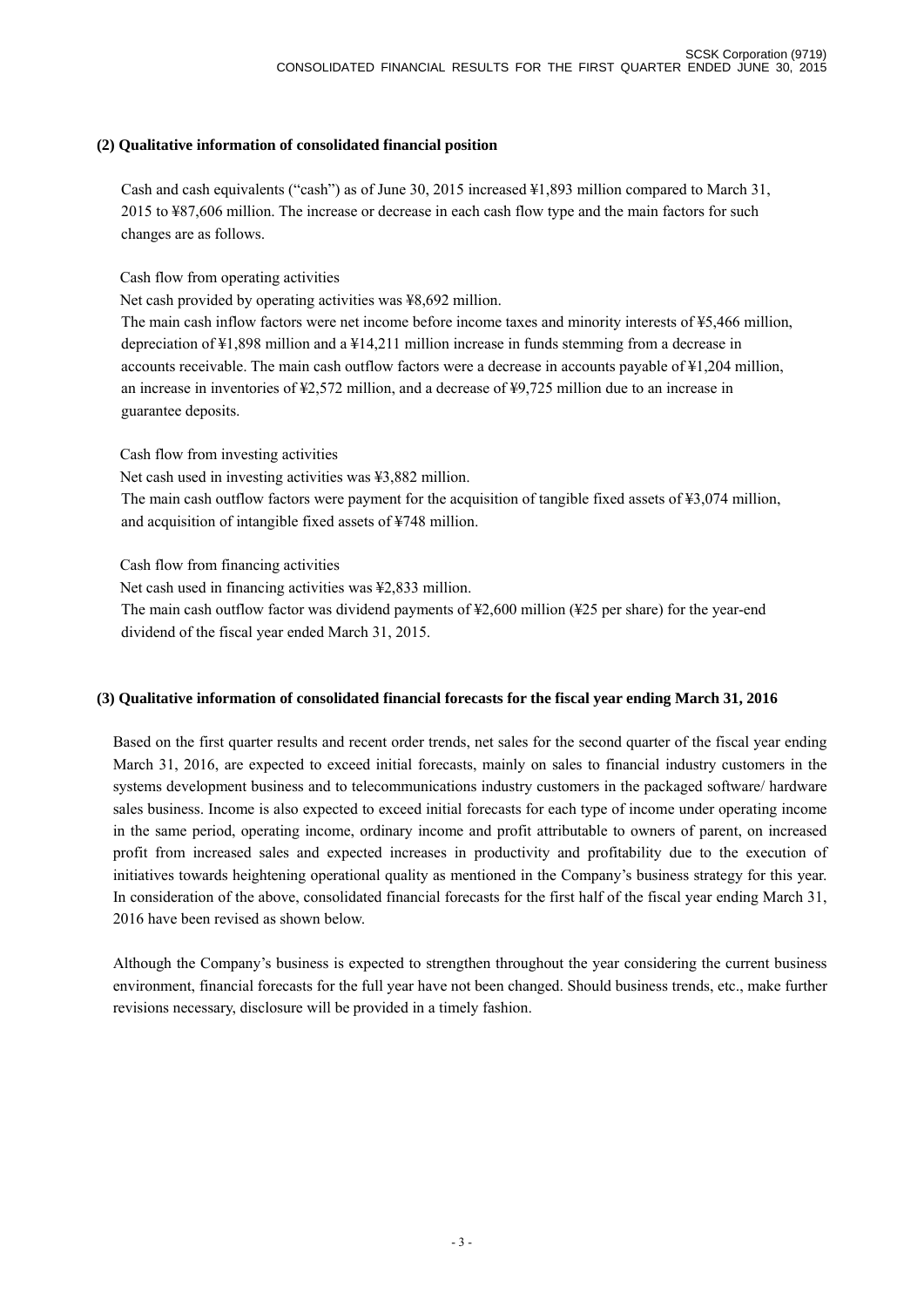## **(2) Qualitative information of consolidated financial position**

Cash and cash equivalents ("cash") as of June 30, 2015 increased ¥1,893 million compared to March 31, 2015 to ¥87,606 million. The increase or decrease in each cash flow type and the main factors for such changes are as follows.

Cash flow from operating activities

Net cash provided by operating activities was ¥8,692 million.

The main cash inflow factors were net income before income taxes and minority interests of ¥5,466 million, depreciation of ¥1,898 million and a ¥14,211 million increase in funds stemming from a decrease in accounts receivable. The main cash outflow factors were a decrease in accounts payable of ¥1,204 million, an increase in inventories of ¥2,572 million, and a decrease of ¥9,725 million due to an increase in guarantee deposits.

Cash flow from investing activities

Net cash used in investing activities was ¥3,882 million.

The main cash outflow factors were payment for the acquisition of tangible fixed assets of ¥3,074 million, and acquisition of intangible fixed assets of ¥748 million.

Cash flow from financing activities

Net cash used in financing activities was ¥2,833 million.

The main cash outflow factor was dividend payments of ¥2,600 million (¥25 per share) for the year-end dividend of the fiscal year ended March 31, 2015.

## **(3) Qualitative information of consolidated financial forecasts for the fiscal year ending March 31, 2016**

Based on the first quarter results and recent order trends, net sales for the second quarter of the fiscal year ending March 31, 2016, are expected to exceed initial forecasts, mainly on sales to financial industry customers in the systems development business and to telecommunications industry customers in the packaged software/ hardware sales business. Income is also expected to exceed initial forecasts for each type of income under operating income in the same period, operating income, ordinary income and profit attributable to owners of parent, on increased profit from increased sales and expected increases in productivity and profitability due to the execution of initiatives towards heightening operational quality as mentioned in the Company's business strategy for this year. In consideration of the above, consolidated financial forecasts for the first half of the fiscal year ending March 31, 2016 have been revised as shown below.

Although the Company's business is expected to strengthen throughout the year considering the current business environment, financial forecasts for the full year have not been changed. Should business trends, etc., make further revisions necessary, disclosure will be provided in a timely fashion.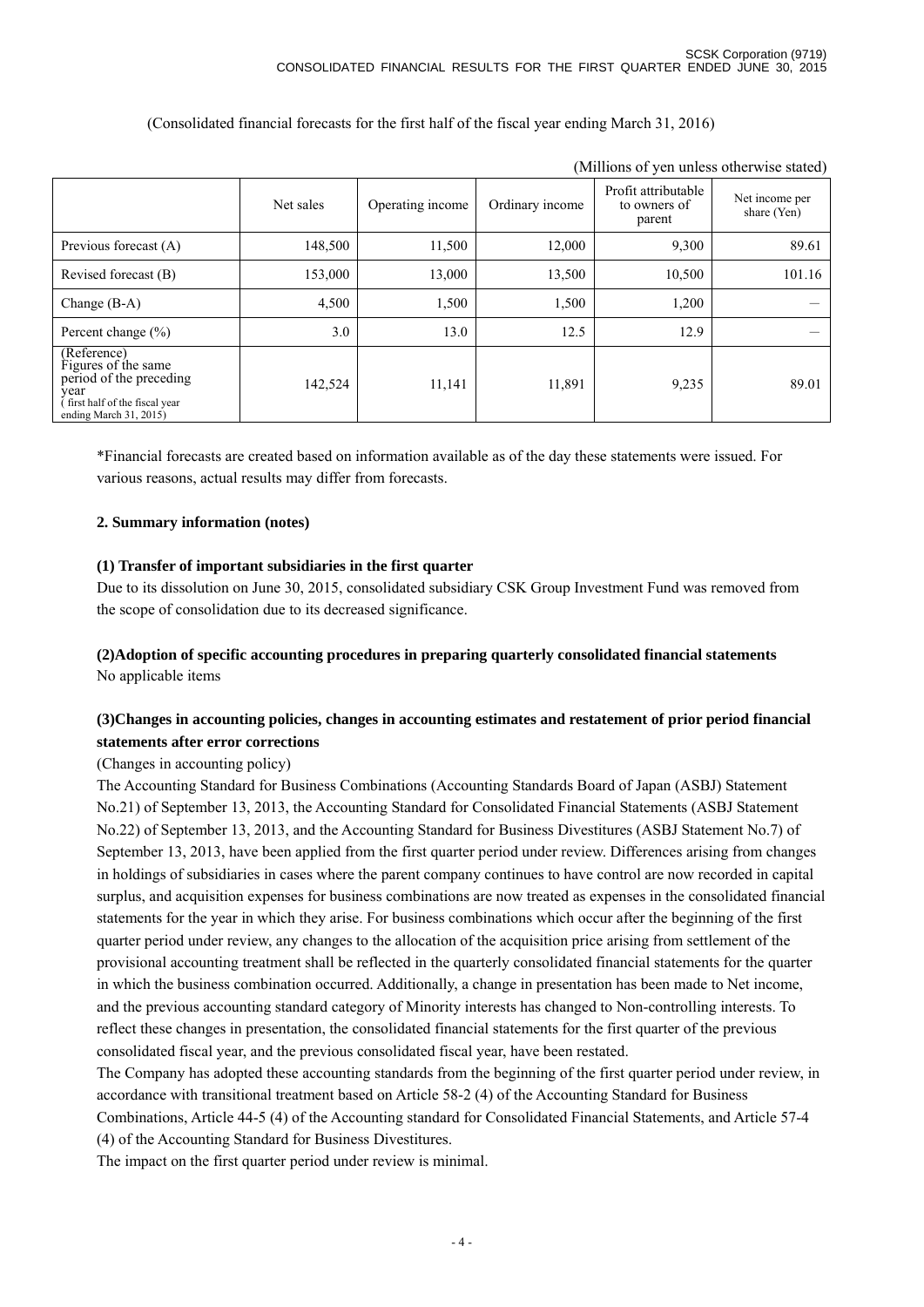| (Millions of yen unless otherwise stated)                                                                                        |           |                  |                 |                                               |                               |  |
|----------------------------------------------------------------------------------------------------------------------------------|-----------|------------------|-----------------|-----------------------------------------------|-------------------------------|--|
|                                                                                                                                  | Net sales | Operating income | Ordinary income | Profit attributable<br>to owners of<br>parent | Net income per<br>share (Yen) |  |
| Previous forecast (A)                                                                                                            | 148,500   | 11,500           | 12,000          | 9,300                                         | 89.61                         |  |
| Revised forecast (B)                                                                                                             | 153,000   | 13,000           | 13,500          | 10,500                                        | 101.16                        |  |
| Change $(B-A)$                                                                                                                   | 4,500     | 1,500            | 1,500           | 1,200                                         |                               |  |
| Percent change $(\% )$                                                                                                           | 3.0       | 13.0             | 12.5            | 12.9                                          |                               |  |
| (Reference)<br>Figures of the same<br>period of the preceding<br>year<br>first half of the fiscal year<br>ending March 31, 2015) | 142,524   | 11,141           | 11,891          | 9,235                                         | 89.01                         |  |

(Consolidated financial forecasts for the first half of the fiscal year ending March 31, 2016)

\*Financial forecasts are created based on information available as of the day these statements were issued. For various reasons, actual results may differ from forecasts.

## **2. Summary information (notes)**

## **(1) Transfer of important subsidiaries in the first quarter**

Due to its dissolution on June 30, 2015, consolidated subsidiary CSK Group Investment Fund was removed from the scope of consolidation due to its decreased significance.

# **(2)Adoption of specific accounting procedures in preparing quarterly consolidated financial statements** No applicable items

# **(3)Changes in accounting policies, changes in accounting estimates and restatement of prior period financial statements after error corrections**

## (Changes in accounting policy)

The Accounting Standard for Business Combinations (Accounting Standards Board of Japan (ASBJ) Statement No.21) of September 13, 2013, the Accounting Standard for Consolidated Financial Statements (ASBJ Statement No.22) of September 13, 2013, and the Accounting Standard for Business Divestitures (ASBJ Statement No.7) of September 13, 2013, have been applied from the first quarter period under review. Differences arising from changes in holdings of subsidiaries in cases where the parent company continues to have control are now recorded in capital surplus, and acquisition expenses for business combinations are now treated as expenses in the consolidated financial statements for the year in which they arise. For business combinations which occur after the beginning of the first quarter period under review, any changes to the allocation of the acquisition price arising from settlement of the provisional accounting treatment shall be reflected in the quarterly consolidated financial statements for the quarter in which the business combination occurred. Additionally, a change in presentation has been made to Net income, and the previous accounting standard category of Minority interests has changed to Non-controlling interests. To reflect these changes in presentation, the consolidated financial statements for the first quarter of the previous consolidated fiscal year, and the previous consolidated fiscal year, have been restated.

The Company has adopted these accounting standards from the beginning of the first quarter period under review, in accordance with transitional treatment based on Article 58-2 (4) of the Accounting Standard for Business Combinations, Article 44-5 (4) of the Accounting standard for Consolidated Financial Statements, and Article 57-4 (4) of the Accounting Standard for Business Divestitures.

The impact on the first quarter period under review is minimal.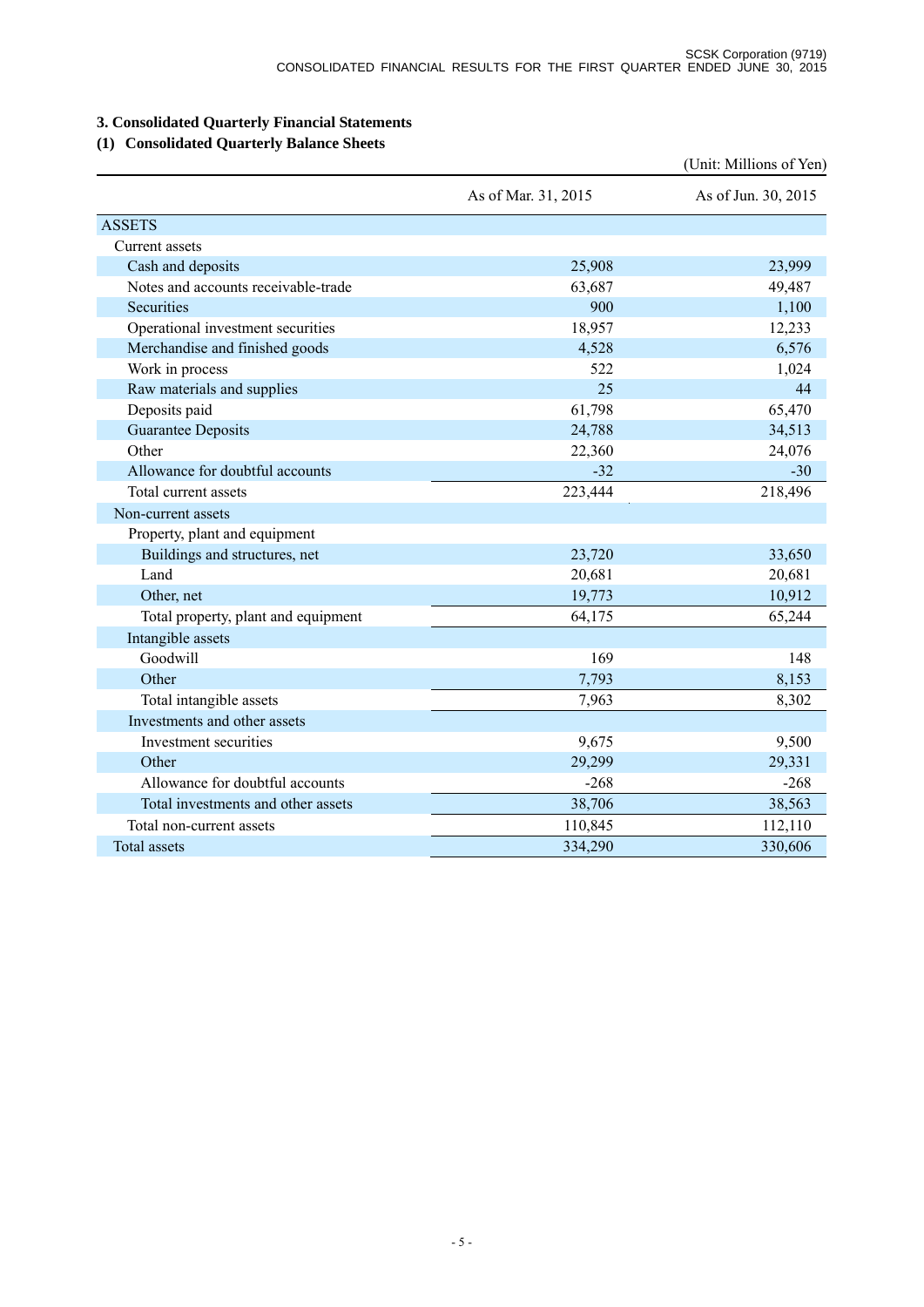# **3. Consolidated Quarterly Financial Statements**

# **(1) Consolidated Quarterly Balance Sheets**

|                                     |                     | (Unit: Millions of Yen) |
|-------------------------------------|---------------------|-------------------------|
|                                     | As of Mar. 31, 2015 | As of Jun. 30, 2015     |
| <b>ASSETS</b>                       |                     |                         |
| Current assets                      |                     |                         |
| Cash and deposits                   | 25,908              | 23,999                  |
| Notes and accounts receivable-trade | 63,687              | 49,487                  |
| Securities                          | 900                 | 1,100                   |
| Operational investment securities   | 18,957              | 12,233                  |
| Merchandise and finished goods      | 4,528               | 6,576                   |
| Work in process                     | 522                 | 1,024                   |
| Raw materials and supplies          | 25                  | 44                      |
| Deposits paid                       | 61,798              | 65,470                  |
| <b>Guarantee Deposits</b>           | 24,788              | 34,513                  |
| Other                               | 22,360              | 24,076                  |
| Allowance for doubtful accounts     | $-32$               | $-30$                   |
| Total current assets                | 223,444             | 218,496                 |
| Non-current assets                  |                     |                         |
| Property, plant and equipment       |                     |                         |
| Buildings and structures, net       | 23,720              | 33,650                  |
| Land                                | 20,681              | 20,681                  |
| Other, net                          | 19,773              | 10,912                  |
| Total property, plant and equipment | 64,175              | 65,244                  |
| Intangible assets                   |                     |                         |
| Goodwill                            | 169                 | 148                     |
| Other                               | 7,793               | 8,153                   |
| Total intangible assets             | 7,963               | 8,302                   |
| Investments and other assets        |                     |                         |
| Investment securities               | 9,675               | 9,500                   |
| Other                               | 29,299              | 29,331                  |
| Allowance for doubtful accounts     | $-268$              | $-268$                  |
| Total investments and other assets  | 38,706              | 38,563                  |
| Total non-current assets            | 110,845             | 112,110                 |
| <b>Total assets</b>                 | 334,290             | 330,606                 |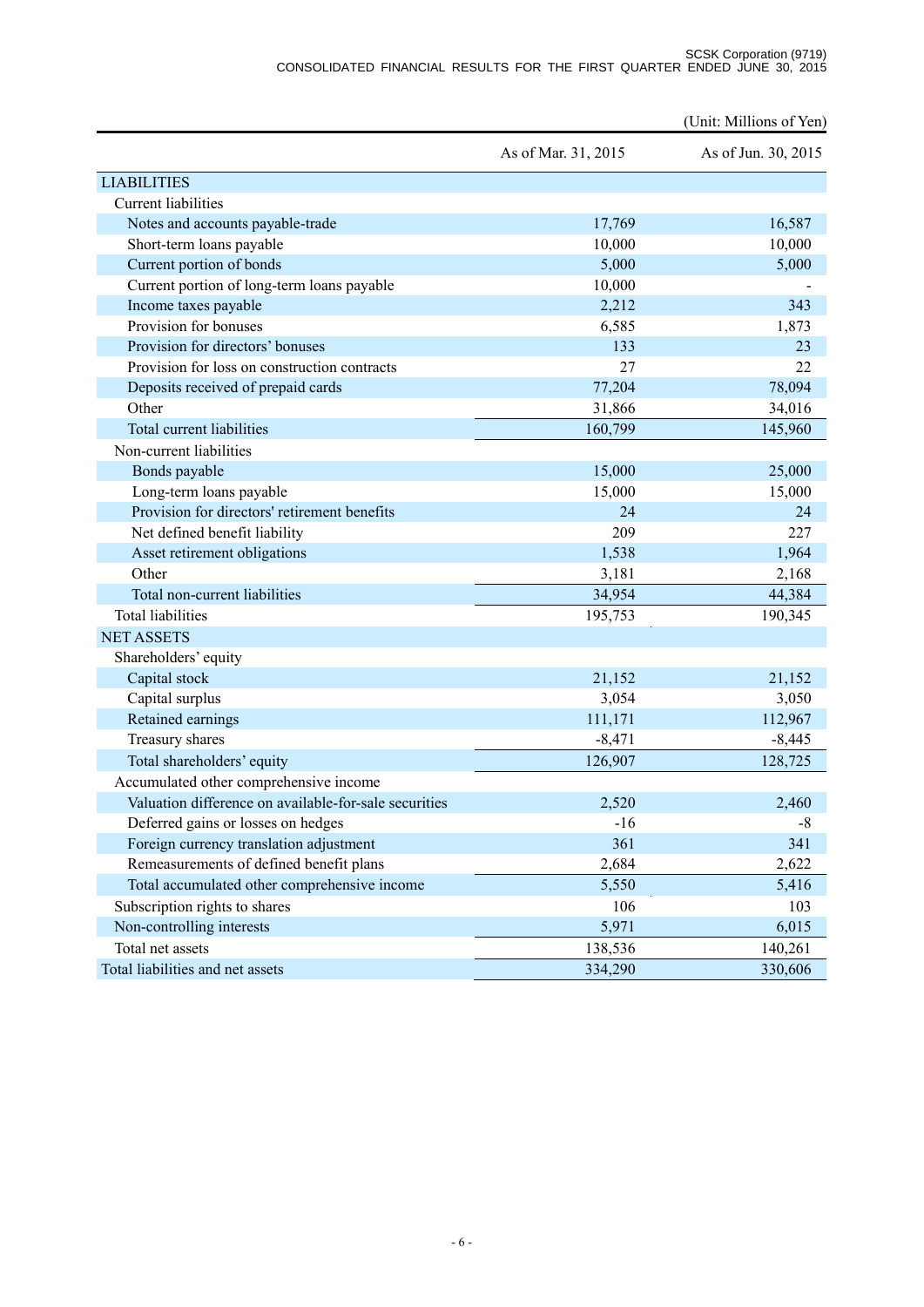#### SCSK Corporation (9719) CONSOLIDATED FINANCIAL RESULTS FOR THE FIRST QUARTER ENDED JUNE 30, 2015

|                                                       |                     | (Unit: Millions of Yen) |
|-------------------------------------------------------|---------------------|-------------------------|
|                                                       | As of Mar. 31, 2015 | As of Jun. 30, 2015     |
| <b>LIABILITIES</b>                                    |                     |                         |
| <b>Current</b> liabilities                            |                     |                         |
| Notes and accounts payable-trade                      | 17,769              | 16,587                  |
| Short-term loans payable                              | 10,000              | 10,000                  |
| Current portion of bonds                              | 5,000               | 5,000                   |
| Current portion of long-term loans payable            | 10,000              |                         |
| Income taxes payable                                  | 2,212               | 343                     |
| Provision for bonuses                                 | 6,585               | 1,873                   |
| Provision for directors' bonuses                      | 133                 | 23                      |
| Provision for loss on construction contracts          | 27                  | 22                      |
| Deposits received of prepaid cards                    | 77,204              | 78,094                  |
| Other                                                 | 31,866              | 34,016                  |
| Total current liabilities                             | 160,799             | 145,960                 |
| Non-current liabilities                               |                     |                         |
| Bonds payable                                         | 15,000              | 25,000                  |
| Long-term loans payable                               | 15,000              | 15,000                  |
| Provision for directors' retirement benefits          | 24                  | 24                      |
| Net defined benefit liability                         | 209                 | 227                     |
| Asset retirement obligations                          | 1,538               | 1,964                   |
| Other                                                 | 3,181               | 2,168                   |
| Total non-current liabilities                         | 34,954              | 44,384                  |
| <b>Total liabilities</b>                              | 195,753             | 190,345                 |
| <b>NET ASSETS</b>                                     |                     |                         |
| Shareholders' equity                                  |                     |                         |
| Capital stock                                         | 21,152              | 21,152                  |
| Capital surplus                                       | 3,054               | 3,050                   |
| Retained earnings                                     | 111,171             | 112,967                 |
| Treasury shares                                       | $-8,471$            | $-8,445$                |
| Total shareholders' equity                            | 126,907             | 128,725                 |
| Accumulated other comprehensive income                |                     |                         |
| Valuation difference on available-for-sale securities | 2,520               | 2,460                   |
| Deferred gains or losses on hedges                    | $-16$               | $-8$                    |
| Foreign currency translation adjustment               | 361                 | 341                     |
| Remeasurements of defined benefit plans               | 2,684               | 2,622                   |
| Total accumulated other comprehensive income          | 5,550               | 5,416                   |
| Subscription rights to shares                         | 106                 | 103                     |
| Non-controlling interests                             | 5,971               | 6,015                   |
| Total net assets                                      | 138,536             | 140,261                 |
| Total liabilities and net assets                      | 334,290             | 330,606                 |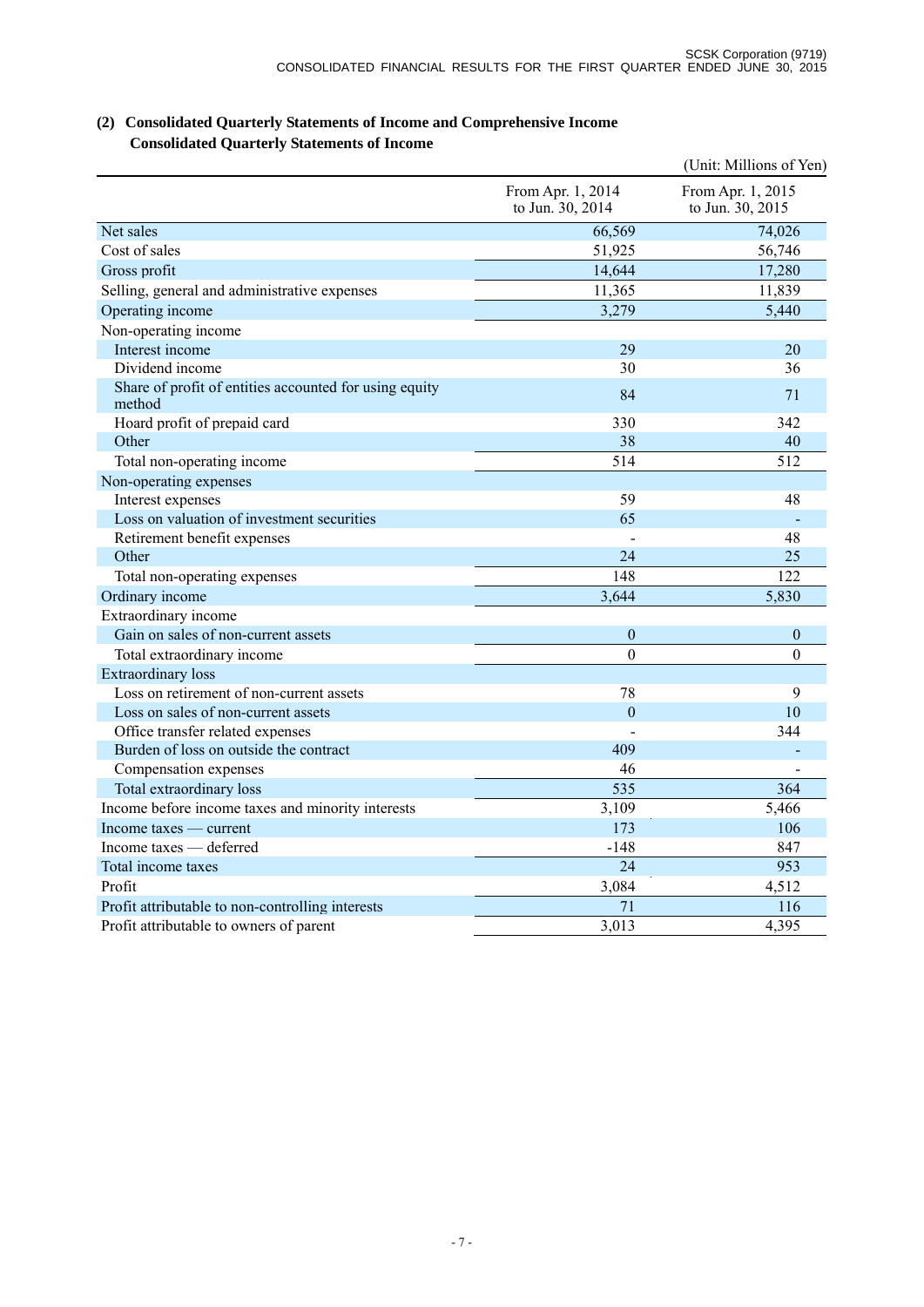|                                                                  |                                       | (Unit: Millions of Yen)               |
|------------------------------------------------------------------|---------------------------------------|---------------------------------------|
|                                                                  | From Apr. 1, 2014<br>to Jun. 30, 2014 | From Apr. 1, 2015<br>to Jun. 30, 2015 |
| Net sales                                                        | 66,569                                | 74,026                                |
| Cost of sales                                                    | 51,925                                | 56,746                                |
| Gross profit                                                     | 14,644                                | 17,280                                |
| Selling, general and administrative expenses                     | 11,365                                | 11,839                                |
| Operating income                                                 | 3,279                                 | 5,440                                 |
| Non-operating income                                             |                                       |                                       |
| Interest income                                                  | 29                                    | 20                                    |
| Dividend income                                                  | 30                                    | 36                                    |
| Share of profit of entities accounted for using equity<br>method | 84                                    | 71                                    |
| Hoard profit of prepaid card                                     | 330                                   | 342                                   |
| Other                                                            | 38                                    | 40                                    |
| Total non-operating income                                       | 514                                   | 512                                   |
| Non-operating expenses                                           |                                       |                                       |
| Interest expenses                                                | 59                                    | 48                                    |
| Loss on valuation of investment securities                       | 65                                    |                                       |
| Retirement benefit expenses                                      |                                       | 48                                    |
| Other                                                            | 24                                    | 25                                    |
| Total non-operating expenses                                     | 148                                   | 122                                   |
| Ordinary income                                                  | 3,644                                 | 5,830                                 |
| Extraordinary income                                             |                                       |                                       |
| Gain on sales of non-current assets                              | $\boldsymbol{0}$                      | $\boldsymbol{0}$                      |
| Total extraordinary income                                       | $\theta$                              | $\theta$                              |
| <b>Extraordinary</b> loss                                        |                                       |                                       |
| Loss on retirement of non-current assets                         | 78                                    | 9                                     |
| Loss on sales of non-current assets                              | $\mathbf{0}$                          | 10                                    |
| Office transfer related expenses                                 |                                       | 344                                   |
| Burden of loss on outside the contract                           | 409                                   |                                       |
| Compensation expenses                                            | 46                                    |                                       |
| Total extraordinary loss                                         | 535                                   | 364                                   |
| Income before income taxes and minority interests                | 3,109                                 | 5,466                                 |
| Income taxes — current                                           | 173                                   | 106                                   |
| Income taxes — deferred                                          | $-148$                                | 847                                   |
| Total income taxes                                               | 24                                    | 953                                   |
| Profit                                                           | 3,084                                 | 4,512                                 |
| Profit attributable to non-controlling interests                 | 71                                    | 116                                   |
| Profit attributable to owners of parent                          | 3,013                                 | 4,395                                 |

# **(2) Consolidated Quarterly Statements of Income and Comprehensive Income Consolidated Quarterly Statements of Income**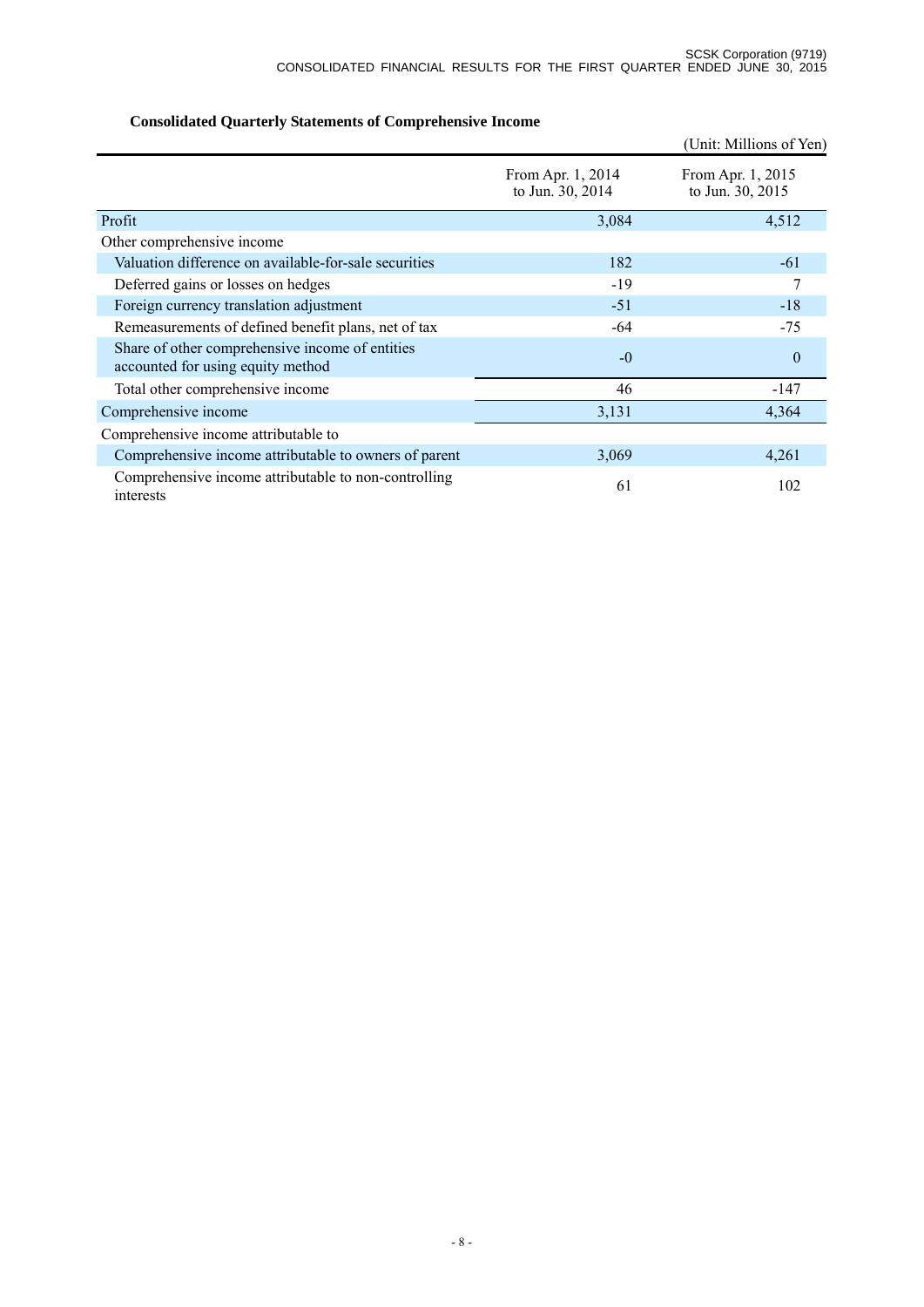# (Unit: Millions of Yen) From Apr. 1, 2014 to Jun. 30, 2014 From Apr. 1, 2015 to Jun. 30, 2015 Profit  $3,084$  4,512 Other comprehensive income Valuation difference on available-for-sale securities 182 -61 Deferred gains or losses on hedges -19 <sup>-19</sup> Foreign currency translation adjustment -51 -18 Remeasurements of defined benefit plans, net of tax  $-64$  -75 Share of other comprehensive income of entities accounted for using equity method of the contract of the contract of the contract of the contract of the contract of the contract of the contract of the contract of the contract of the contract of the contract of the contr Total other comprehensive income 46 -147 Comprehensive income 3,131 4,364 Comprehensive income attributable to Comprehensive income attributable to owners of parent 3,069 4,261 Comprehensive income attributable to non-controlling 61 61 102

## **Consolidated Quarterly Statements of Comprehensive Income**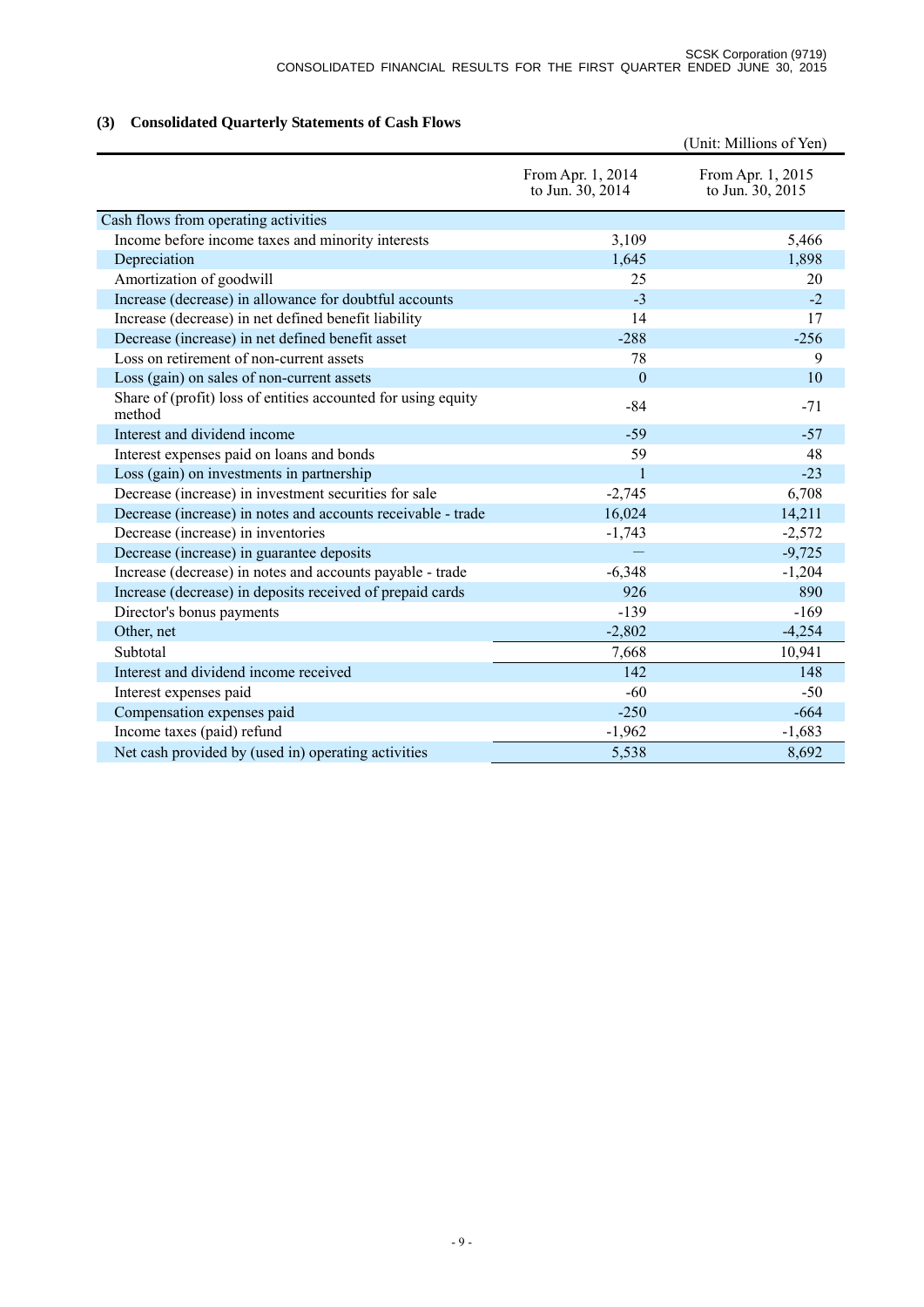# **(3) Consolidated Quarterly Statements of Cash Flows**

|                                                                         |                                       | (Unit: Millions of Yen)               |
|-------------------------------------------------------------------------|---------------------------------------|---------------------------------------|
|                                                                         | From Apr. 1, 2014<br>to Jun. 30, 2014 | From Apr. 1, 2015<br>to Jun. 30, 2015 |
| Cash flows from operating activities                                    |                                       |                                       |
| Income before income taxes and minority interests                       | 3,109                                 | 5,466                                 |
| Depreciation                                                            | 1,645                                 | 1,898                                 |
| Amortization of goodwill                                                | 25                                    | 20                                    |
| Increase (decrease) in allowance for doubtful accounts                  | $-3$                                  | $-2$                                  |
| Increase (decrease) in net defined benefit liability                    | 14                                    | 17                                    |
| Decrease (increase) in net defined benefit asset                        | $-288$                                | $-256$                                |
| Loss on retirement of non-current assets                                | 78                                    | 9                                     |
| Loss (gain) on sales of non-current assets                              | $\theta$                              | 10                                    |
| Share of (profit) loss of entities accounted for using equity<br>method | $-84$                                 | $-71$                                 |
| Interest and dividend income                                            | $-59$                                 | $-57$                                 |
| Interest expenses paid on loans and bonds                               | 59                                    | 48                                    |
| Loss (gain) on investments in partnership                               | $\overline{1}$                        | $-23$                                 |
| Decrease (increase) in investment securities for sale                   | $-2,745$                              | 6,708                                 |
| Decrease (increase) in notes and accounts receivable - trade            | 16,024                                | 14,211                                |
| Decrease (increase) in inventories                                      | $-1,743$                              | $-2,572$                              |
| Decrease (increase) in guarantee deposits                               |                                       | $-9,725$                              |
| Increase (decrease) in notes and accounts payable - trade               | $-6,348$                              | $-1,204$                              |
| Increase (decrease) in deposits received of prepaid cards               | 926                                   | 890                                   |
| Director's bonus payments                                               | $-139$                                | $-169$                                |
| Other, net                                                              | $-2,802$                              | $-4,254$                              |
| Subtotal                                                                | 7,668                                 | 10,941                                |
| Interest and dividend income received                                   | 142                                   | 148                                   |
| Interest expenses paid                                                  | $-60$                                 | $-50$                                 |
| Compensation expenses paid                                              | $-250$                                | $-664$                                |
| Income taxes (paid) refund                                              | $-1,962$                              | $-1,683$                              |
| Net cash provided by (used in) operating activities                     | 5,538                                 | 8,692                                 |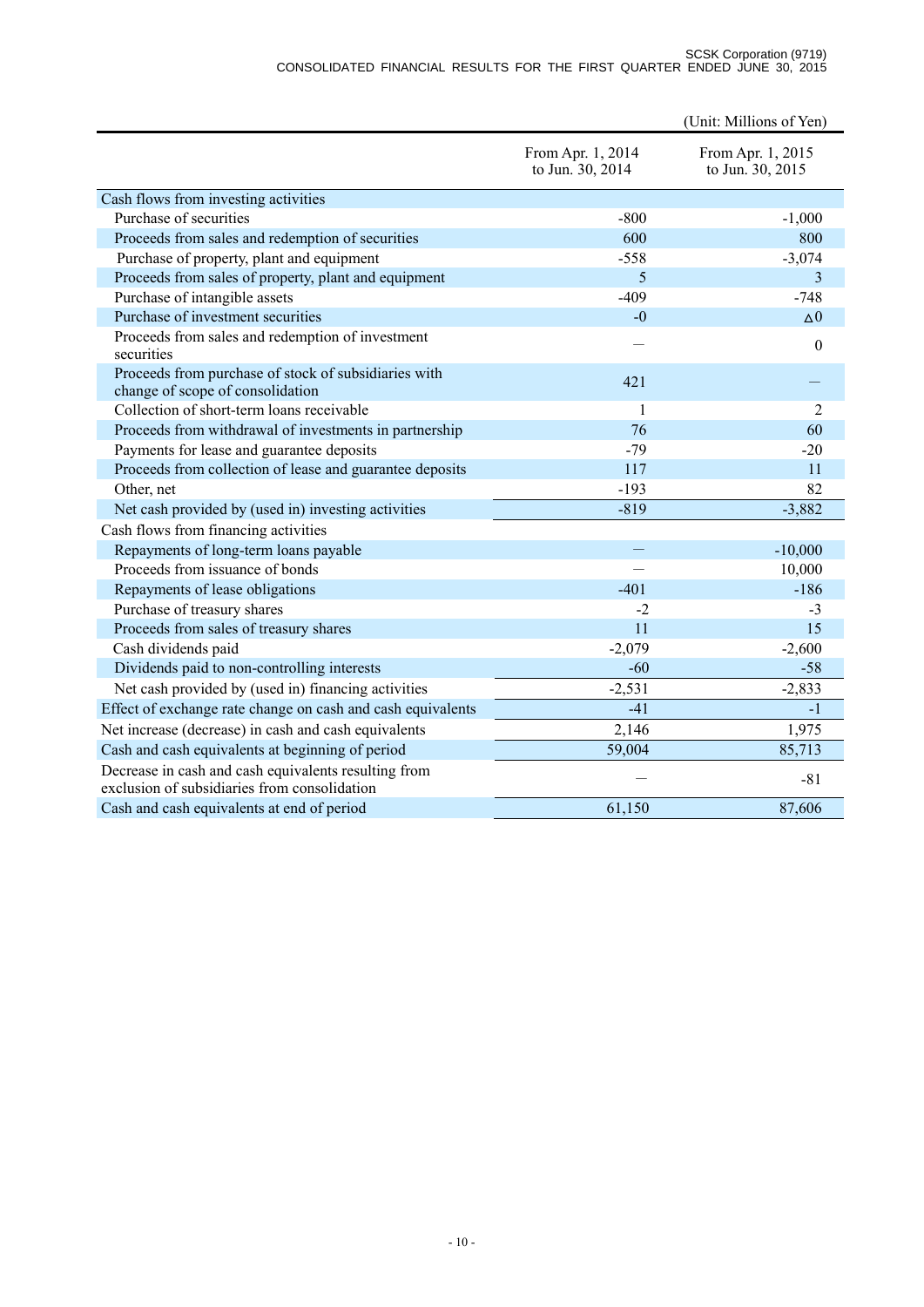#### SCSK Corporation (9719) CONSOLIDATED FINANCIAL RESULTS FOR THE FIRST QUARTER ENDED JUNE 30, 2015

|                                                                                                      |                                       | (Unit: Millions of Yen)               |
|------------------------------------------------------------------------------------------------------|---------------------------------------|---------------------------------------|
|                                                                                                      | From Apr. 1, 2014<br>to Jun. 30, 2014 | From Apr. 1, 2015<br>to Jun. 30, 2015 |
| Cash flows from investing activities                                                                 |                                       |                                       |
| Purchase of securities                                                                               | $-800$                                | $-1,000$                              |
| Proceeds from sales and redemption of securities                                                     | 600                                   | 800                                   |
| Purchase of property, plant and equipment                                                            | $-558$                                | $-3,074$                              |
| Proceeds from sales of property, plant and equipment                                                 | 5                                     | 3                                     |
| Purchase of intangible assets                                                                        | $-409$                                | $-748$                                |
| Purchase of investment securities                                                                    | $-0$                                  | $\Delta 0$                            |
| Proceeds from sales and redemption of investment<br>securities                                       |                                       | $\theta$                              |
| Proceeds from purchase of stock of subsidiaries with<br>change of scope of consolidation             | 421                                   |                                       |
| Collection of short-term loans receivable                                                            | $\mathbf{1}$                          | $\overline{2}$                        |
| Proceeds from withdrawal of investments in partnership                                               | 76                                    | 60                                    |
| Payments for lease and guarantee deposits                                                            | $-79$                                 | $-20$                                 |
| Proceeds from collection of lease and guarantee deposits                                             | 117                                   | 11                                    |
| Other, net                                                                                           | $-193$                                | 82                                    |
| Net cash provided by (used in) investing activities                                                  | $-819$                                | $-3,882$                              |
| Cash flows from financing activities                                                                 |                                       |                                       |
| Repayments of long-term loans payable                                                                |                                       | $-10,000$                             |
| Proceeds from issuance of bonds                                                                      |                                       | 10,000                                |
| Repayments of lease obligations                                                                      | $-401$                                | $-186$                                |
| Purchase of treasury shares                                                                          | $-2$                                  | $-3$                                  |
| Proceeds from sales of treasury shares                                                               | 11                                    | 15                                    |
| Cash dividends paid                                                                                  | $-2,079$                              | $-2,600$                              |
| Dividends paid to non-controlling interests                                                          | $-60$                                 | $-58$                                 |
| Net cash provided by (used in) financing activities                                                  | $-2,531$                              | $-2,833$                              |
| Effect of exchange rate change on cash and cash equivalents                                          | $-41$                                 | $-1$                                  |
| Net increase (decrease) in cash and cash equivalents                                                 | 2,146                                 | 1,975                                 |
| Cash and cash equivalents at beginning of period                                                     | 59,004                                | 85,713                                |
| Decrease in cash and cash equivalents resulting from<br>exclusion of subsidiaries from consolidation |                                       | $-81$                                 |
| Cash and cash equivalents at end of period                                                           | 61,150                                | 87,606                                |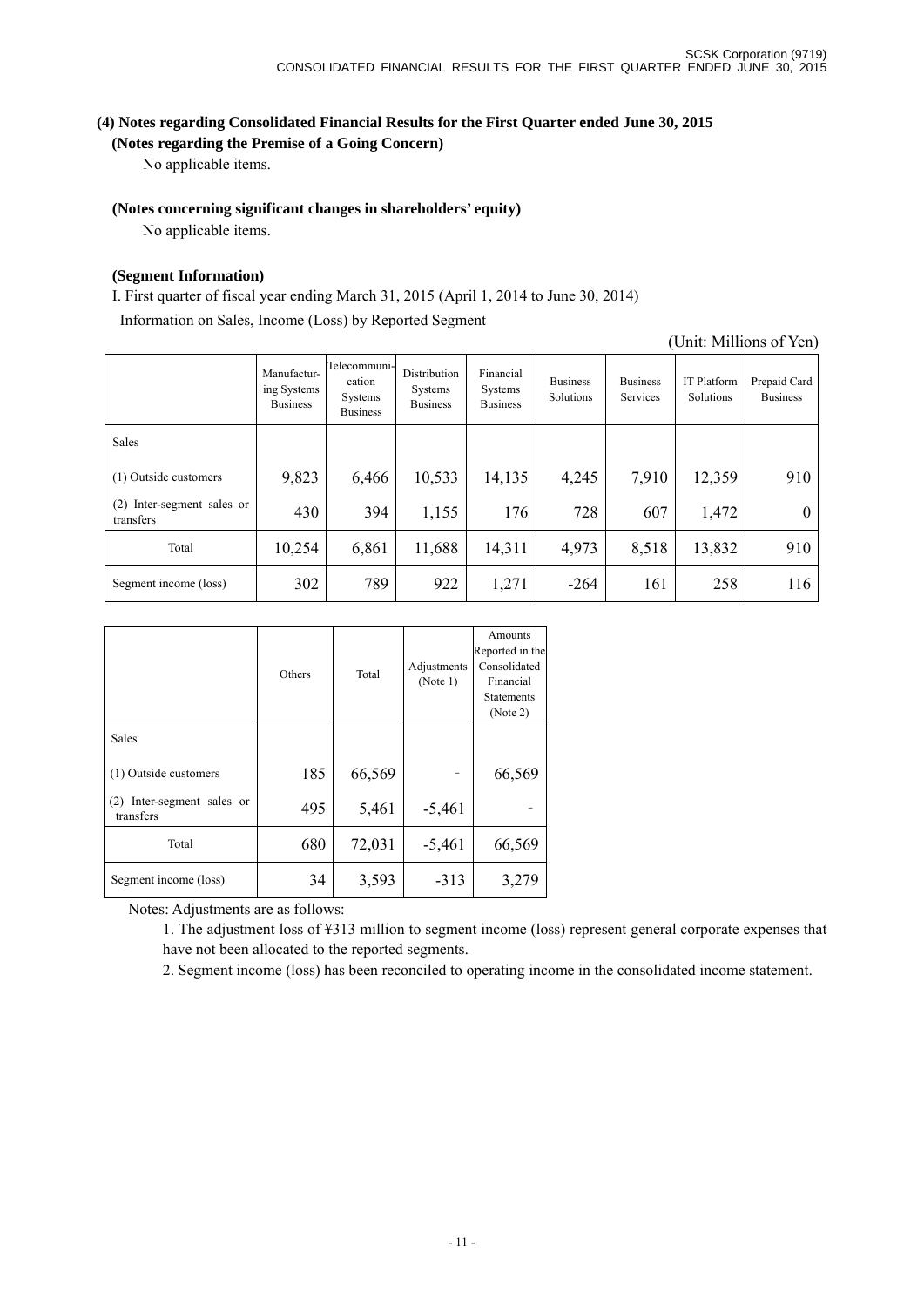(Unit: Millions of Yen)

# **(4) Notes regarding Consolidated Financial Results for the First Quarter ended June 30, 2015**

# **(Notes regarding the Premise of a Going Concern)**

No applicable items.

## **(Notes concerning significant changes in shareholders' equity)**

No applicable items.

## **(Segment Information)**

I. First quarter of fiscal year ending March 31, 2015 (April 1, 2014 to June 30, 2014)

Information on Sales, Income (Loss) by Reported Segment

|                                         | Manufactur-<br>ing Systems<br><b>Business</b> | Telecommuni-<br>cation<br>Systems<br><b>Business</b> | Distribution<br>Systems<br><b>Business</b> | Financial<br>Systems<br><b>Business</b> | <b>Business</b><br>Solutions | <b>Business</b><br>Services | IT Platform<br>Solutions | Prepaid Card<br><b>Business</b> |
|-----------------------------------------|-----------------------------------------------|------------------------------------------------------|--------------------------------------------|-----------------------------------------|------------------------------|-----------------------------|--------------------------|---------------------------------|
| <b>Sales</b>                            |                                               |                                                      |                                            |                                         |                              |                             |                          |                                 |
| (1) Outside customers                   | 9,823                                         | 6,466                                                | 10,533                                     | 14,135                                  | 4,245                        | 7,910                       | 12,359                   | 910                             |
| (2) Inter-segment sales or<br>transfers | 430                                           | 394                                                  | 1,155                                      | 176                                     | 728                          | 607                         | 1,472                    | $\theta$                        |
| Total                                   | 10,254                                        | 6,861                                                | 11,688                                     | 14,311                                  | 4,973                        | 8,518                       | 13,832                   | 910                             |
| Segment income (loss)                   | 302                                           | 789                                                  | 922                                        | 1,271                                   | $-264$                       | 161                         | 258                      | 116                             |

|                                            | Others | Total  | Adjustments<br>(Note 1) | Amounts<br>Reported in the<br>Consolidated<br>Financial<br><b>Statements</b><br>(Note 2) |
|--------------------------------------------|--------|--------|-------------------------|------------------------------------------------------------------------------------------|
| Sales                                      |        |        |                         |                                                                                          |
| (1) Outside customers                      | 185    | 66,569 |                         | 66,569                                                                                   |
| Inter-segment sales or<br>(2)<br>transfers | 495    | 5,461  | $-5,461$                |                                                                                          |
| Total                                      | 680    | 72,031 | $-5,461$                | 66,569                                                                                   |
| Segment income (loss)                      | 34     | 3,593  | $-313$                  | 3,279                                                                                    |

Notes: Adjustments are as follows:

1. The adjustment loss of ¥313 million to segment income (loss) represent general corporate expenses that have not been allocated to the reported segments.

2. Segment income (loss) has been reconciled to operating income in the consolidated income statement.